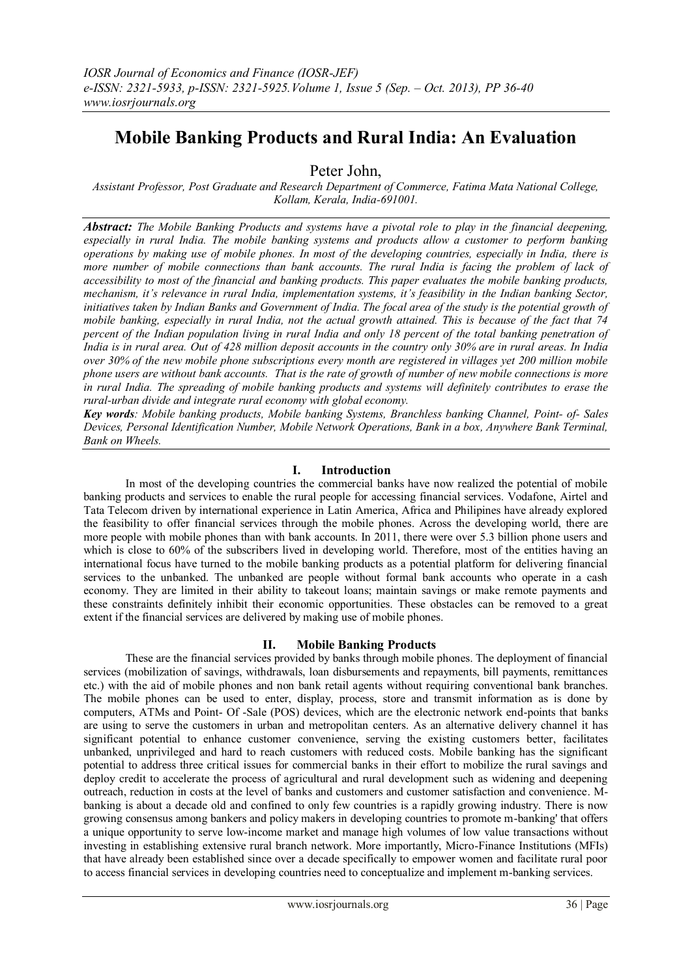# **Mobile Banking Products and Rural India: An Evaluation**

Peter John,

*Assistant Professor, Post Graduate and Research Department of Commerce, Fatima Mata National College, Kollam, Kerala, India-691001.*

*Abstract: The Mobile Banking Products and systems have a pivotal role to play in the financial deepening, especially in rural India. The mobile banking systems and products allow a customer to perform banking operations by making use of mobile phones. In most of the developing countries, especially in India, there is more number of mobile connections than bank accounts. The rural India is facing the problem of lack of accessibility to most of the financial and banking products. This paper evaluates the mobile banking products, mechanism, it's relevance in rural India, implementation systems, it's feasibility in the Indian banking Sector, initiatives taken by Indian Banks and Government of India. The focal area of the study is the potential growth of mobile banking, especially in rural India, not the actual growth attained. This is because of the fact that 74 percent of the Indian population living in rural India and only 18 percent of the total banking penetration of India is in rural area. Out of 428 million deposit accounts in the country only 30% are in rural areas. In India over 30% of the new mobile phone subscriptions every month are registered in villages yet 200 million mobile phone users are without bank accounts. That is the rate of growth of number of new mobile connections is more in rural India. The spreading of mobile banking products and systems will definitely contributes to erase the rural-urban divide and integrate rural economy with global economy.*

*Key words: Mobile banking products, Mobile banking Systems, Branchless banking Channel, Point- of- Sales Devices, Personal Identification Number, Mobile Network Operations, Bank in a box, Anywhere Bank Terminal, Bank on Wheels.*

# **I. Introduction**

In most of the developing countries the commercial banks have now realized the potential of mobile banking products and services to enable the rural people for accessing financial services. Vodafone, Airtel and Tata Telecom driven by international experience in Latin America, Africa and Philipines have already explored the feasibility to offer financial services through the mobile phones. Across the developing world, there are more people with mobile phones than with bank accounts. In 2011, there were over 5.3 billion phone users and which is close to 60% of the subscribers lived in developing world. Therefore, most of the entities having an international focus have turned to the mobile banking products as a potential platform for delivering financial services to the unbanked. The unbanked are people without formal bank accounts who operate in a cash economy. They are limited in their ability to takeout loans; maintain savings or make remote payments and these constraints definitely inhibit their economic opportunities. These obstacles can be removed to a great extent if the financial services are delivered by making use of mobile phones.

# **II. Mobile Banking Products**

These are the financial services provided by banks through mobile phones. The deployment of financial services (mobilization of savings, withdrawals, loan disbursements and repayments, bill payments, remittances etc.) with the aid of mobile phones and non bank retail agents without requiring conventional bank branches. The mobile phones can be used to enter, display, process, store and transmit information as is done by computers, ATMs and Point- Of -Sale (POS) devices, which are the electronic network end-points that banks are using to serve the customers in urban and metropolitan centers. As an alternative delivery channel it has significant potential to enhance customer convenience, serving the existing customers better, facilitates unbanked, unprivileged and hard to reach customers with reduced costs. Mobile banking has the significant potential to address three critical issues for commercial banks in their effort to mobilize the rural savings and deploy credit to accelerate the process of agricultural and rural development such as widening and deepening outreach, reduction in costs at the level of banks and customers and customer satisfaction and convenience. Mbanking is about a decade old and confined to only few countries is a rapidly growing industry. There is now growing consensus among bankers and policy makers in developing countries to promote m-banking' that offers a unique opportunity to serve low-income market and manage high volumes of low value transactions without investing in establishing extensive rural branch network. More importantly, Micro-Finance Institutions (MFIs) that have already been established since over a decade specifically to empower women and facilitate rural poor to access financial services in developing countries need to conceptualize and implement m-banking services.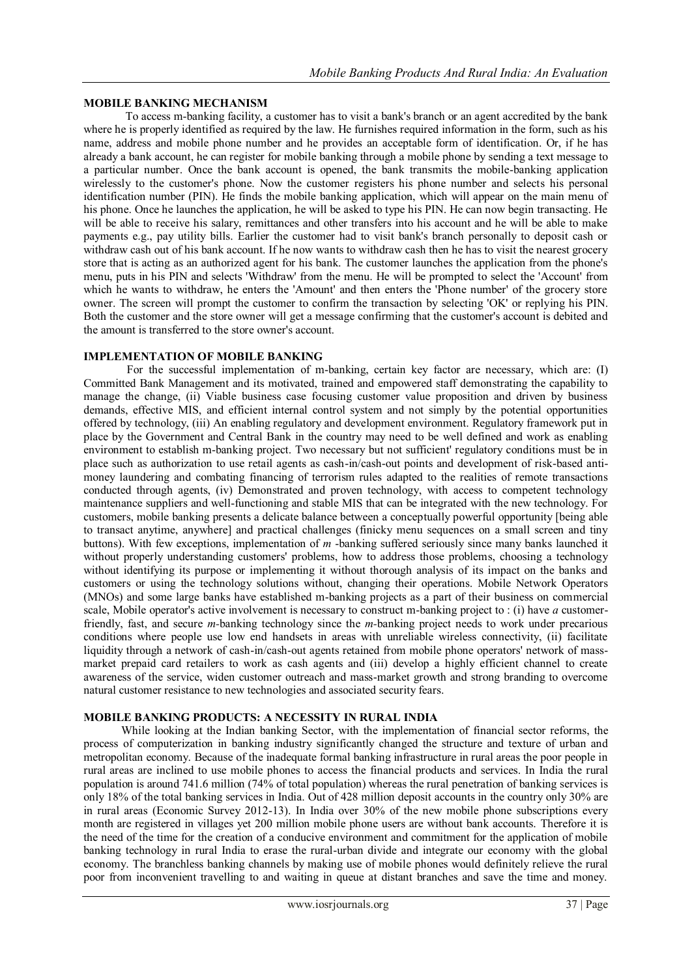### **MOBILE BANKING MECHANISM**

 To access m-banking facility, a customer has to visit a bank's branch or an agent accredited by the bank where he is properly identified as required by the law. He furnishes required information in the form, such as his name, address and mobile phone number and he provides an acceptable form of identification. Or, if he has already a bank account, he can register for mobile banking through a mobile phone by sending a text message to a particular number. Once the bank account is opened, the bank transmits the mobile-banking application wirelessly to the customer's phone. Now the customer registers his phone number and selects his personal identification number (PIN). He finds the mobile banking application, which will appear on the main menu of his phone. Once he launches the application, he will be asked to type his PIN. He can now begin transacting. He will be able to receive his salary, remittances and other transfers into his account and he will be able to make payments e.g., pay utility bills. Earlier the customer had to visit bank's branch personally to deposit cash or withdraw cash out of his bank account. If he now wants to withdraw cash then he has to visit the nearest grocery store that is acting as an authorized agent for his bank. The customer launches the application from the phone's menu, puts in his PIN and selects 'Withdraw' from the menu. He will be prompted to select the 'Account' from which he wants to withdraw, he enters the 'Amount' and then enters the 'Phone number' of the grocery store owner. The screen will prompt the customer to confirm the transaction by selecting 'OK' or replying his PIN. Both the customer and the store owner will get a message confirming that the customer's account is debited and the amount is transferred to the store owner's account.

### **IMPLEMENTATION OF MOBILE BANKING**

 For the successful implementation of m-banking, certain key factor are necessary, which are: (I) Committed Bank Management and its motivated, trained and empowered staff demonstrating the capability to manage the change, (ii) Viable business case focusing customer value proposition and driven by business demands, effective MIS, and efficient internal control system and not simply by the potential opportunities offered by technology, (iii) An enabling regulatory and development environment. Regulatory framework put in place by the Government and Central Bank in the country may need to be well defined and work as enabling environment to establish m-banking project. Two necessary but not sufficient' regulatory conditions must be in place such as authorization to use retail agents as cash-in/cash-out points and development of risk-based antimoney laundering and combating financing of terrorism rules adapted to the realities of remote transactions conducted through agents, (iv) Demonstrated and proven technology, with access to competent technology maintenance suppliers and well-functioning and stable MIS that can be integrated with the new technology. For customers, mobile banking presents a delicate balance between a conceptually powerful opportunity [being able to transact anytime, anywhere] and practical challenges (finicky menu sequences on a small screen and tiny buttons). With few exceptions, implementation of *m* -banking suffered seriously since many banks launched it without properly understanding customers' problems, how to address those problems, choosing a technology without identifying its purpose or implementing it without thorough analysis of its impact on the banks and customers or using the technology solutions without, changing their operations. Mobile Network Operators (MNOs) and some large banks have established m-banking projects as a part of their business on commercial scale, Mobile operator's active involvement is necessary to construct m-banking project to : (i) have *a* customerfriendly, fast, and secure *m-*banking technology since the *m-*banking project needs to work under precarious conditions where people use low end handsets in areas with unreliable wireless connectivity, (ii) facilitate liquidity through a network of cash-in/cash-out agents retained from mobile phone operators' network of massmarket prepaid card retailers to work as cash agents and (iii) develop a highly efficient channel to create awareness of the service, widen customer outreach and mass-market growth and strong branding to overcome natural customer resistance to new technologies and associated security fears.

### **MOBILE BANKING PRODUCTS: A NECESSITY IN RURAL INDIA**

 While looking at the Indian banking Sector, with the implementation of financial sector reforms, the process of computerization in banking industry significantly changed the structure and texture of urban and metropolitan economy. Because of the inadequate formal banking infrastructure in rural areas the poor people in rural areas are inclined to use mobile phones to access the financial products and services. In India the rural population is around 741.6 million (74% of total population) whereas the rural penetration of banking services is only 18% of the total banking services in India. Out of 428 million deposit accounts in the country only 30% are in rural areas (Economic Survey 2012-13). In India over 30% of the new mobile phone subscriptions every month are registered in villages yet 200 million mobile phone users are without bank accounts. Therefore it is the need of the time for the creation of a conducive environment and commitment for the application of mobile banking technology in rural India to erase the rural-urban divide and integrate our economy with the global economy. The branchless banking channels by making use of mobile phones would definitely relieve the rural poor from inconvenient travelling to and waiting in queue at distant branches and save the time and money.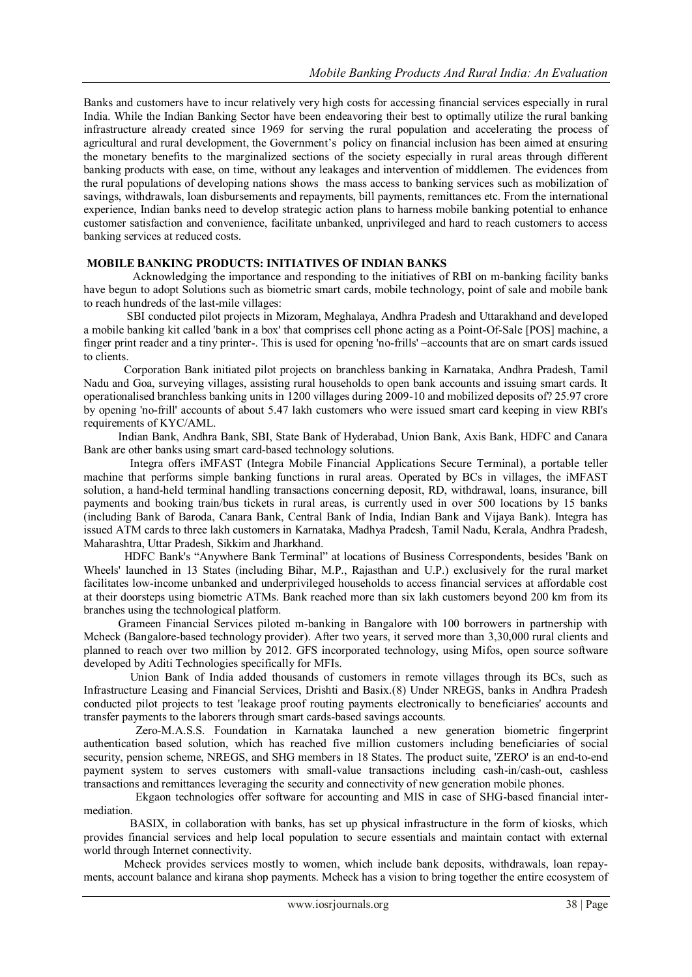Banks and customers have to incur relatively very high costs for accessing financial services especially in rural India. While the Indian Banking Sector have been endeavoring their best to optimally utilize the rural banking infrastructure already created since 1969 for serving the rural population and accelerating the process of agricultural and rural development, the Government's policy on financial inclusion has been aimed at ensuring the monetary benefits to the marginalized sections of the society especially in rural areas through different banking products with ease, on time, without any leakages and intervention of middlemen. The evidences from the rural populations of developing nations shows the mass access to banking services such as mobilization of savings, withdrawals, loan disbursements and repayments, bill payments, remittances etc. From the international experience, Indian banks need to develop strategic action plans to harness mobile banking potential to enhance customer satisfaction and convenience, facilitate unbanked, unprivileged and hard to reach customers to access banking services at reduced costs.

#### **MOBILE BANKING PRODUCTS: INITIATIVES OF INDIAN BANKS**

 Acknowledging the importance and responding to the initiatives of RBI on m-banking facility banks have begun to adopt Solutions such as biometric smart cards, mobile technology, point of sale and mobile bank to reach hundreds of the last-mile villages:

 SBI conducted pilot projects in Mizoram, Meghalaya, Andhra Pradesh and Uttarakhand and developed a mobile banking kit called 'bank in a box' that comprises cell phone acting as a Point-Of-Sale [POS] machine, a finger print reader and a tiny printer-. This is used for opening 'no-frills' –accounts that are on smart cards issued to clients.

 Corporation Bank initiated pilot projects on branchless banking in Karnataka, Andhra Pradesh, Tamil Nadu and Goa, surveying villages, assisting rural households to open bank accounts and issuing smart cards. It operationalised branchless banking units in 1200 villages during 2009-10 and mobilized deposits of? 25.97 crore by opening 'no-frill' accounts of about 5.47 lakh customers who were issued smart card keeping in view RBI's requirements of KYC/AML.

 Indian Bank, Andhra Bank, SBI, State Bank of Hyderabad, Union Bank, Axis Bank, HDFC and Canara Bank are other banks using smart card-based technology solutions.

 Integra offers iMFAST (Integra Mobile Financial Applications Secure Terminal), a portable teller machine that performs simple banking functions in rural areas. Operated by BCs in villages, the iMFAST solution, a hand-held terminal handling transactions concerning deposit, RD, withdrawal, loans, insurance, bill payments and booking train/bus tickets in rural areas, is currently used in over 500 locations by 15 banks (including Bank of Baroda, Canara Bank, Central Bank of India, Indian Bank and Vijaya Bank). Integra has issued ATM cards to three lakh customers in Karnataka, Madhya Pradesh, Tamil Nadu, Kerala, Andhra Pradesh, Maharashtra, Uttar Pradesh, Sikkim and Jharkhand.

 HDFC Bank's "Anywhere Bank Terminal" at locations of Business Correspondents, besides 'Bank on Wheels' launched in 13 States (including Bihar, M.P., Rajasthan and U.P.) exclusively for the rural market facilitates low-income unbanked and underprivileged households to access financial services at affordable cost at their doorsteps using biometric ATMs. Bank reached more than six lakh customers beyond 200 km from its branches using the technological platform.

 Grameen Financial Services piloted m-banking in Bangalore with 100 borrowers in partnership with Mcheck (Bangalore-based technology provider). After two years, it served more than 3,30,000 rural clients and planned to reach over two million by 2012. GFS incorporated technology, using Mifos, open source software developed by Aditi Technologies specifically for MFIs.

 Union Bank of India added thousands of customers in remote villages through its BCs, such as Infrastructure Leasing and Financial Services, Drishti and Basix.(8) Under NREGS, banks in Andhra Pradesh conducted pilot projects to test 'leakage proof routing payments electronically to beneficiaries' accounts and transfer payments to the laborers through smart cards-based savings accounts.

 Zero-M.A.S.S. Foundation in Karnataka launched a new generation biometric fingerprint authentication based solution, which has reached five million customers including beneficiaries of social security, pension scheme, NREGS, and SHG members in 18 States. The product suite, 'ZERO' is an end-to-end payment system to serves customers with small-value transactions including cash-in/cash-out, cashless transactions and remittances leveraging the security and connectivity of new generation mobile phones.

 Ekgaon technologies offer software for accounting and MIS in case of SHG-based financial intermediation.

 BASIX, in collaboration with banks, has set up physical infrastructure in the form of kiosks, which provides financial services and help local population to secure essentials and maintain contact with external world through Internet connectivity.

 Mcheck provides services mostly to women, which include bank deposits, withdrawals, loan repayments, account balance and kirana shop payments. Mcheck has a vision to bring together the entire ecosystem of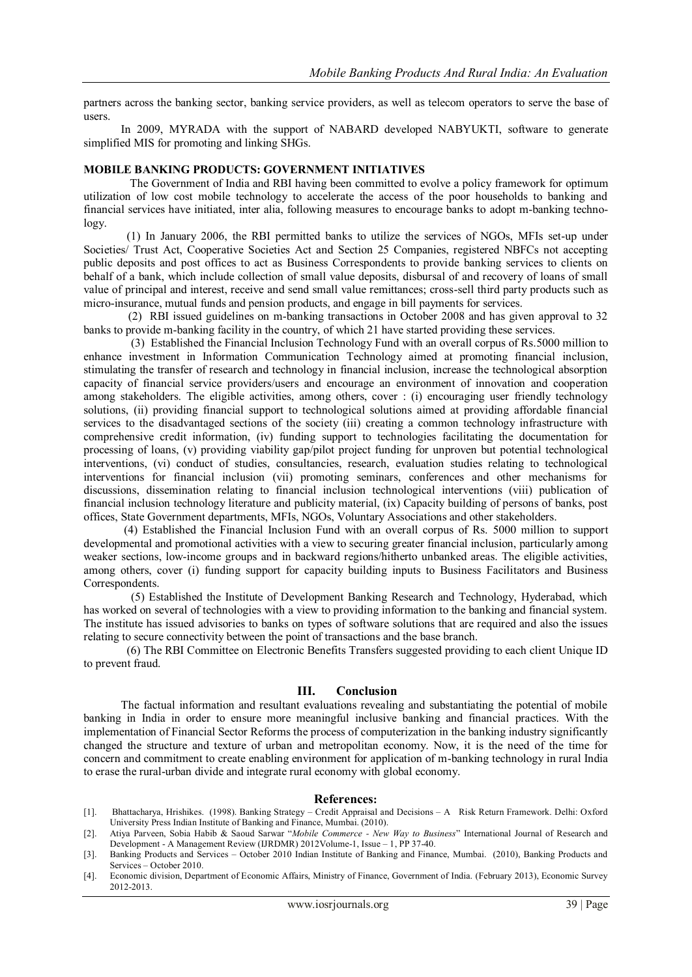partners across the banking sector, banking service providers, as well as telecom operators to serve the base of users.

 In 2009, MYRADA with the support of NABARD developed NABYUKTI, software to generate simplified MIS for promoting and linking SHGs.

#### **MOBILE BANKING PRODUCTS: GOVERNMENT INITIATIVES**

 The Government of India and RBI having been committed to evolve a policy framework for optimum utilization of low cost mobile technology to accelerate the access of the poor households to banking and financial services have initiated, inter alia, following measures to encourage banks to adopt m-banking technology.

 (1) In January 2006, the RBI permitted banks to utilize the services of NGOs, MFIs set-up under Societies/ Trust Act, Cooperative Societies Act and Section 25 Companies, registered NBFCs not accepting public deposits and post offices to act as Business Correspondents to provide banking services to clients on behalf of a bank, which include collection of small value deposits, disbursal of and recovery of loans of small value of principal and interest, receive and send small value remittances; cross-sell third party products such as micro-insurance, mutual funds and pension products, and engage in bill payments for services.

 (2) RBI issued guidelines on m-banking transactions in October 2008 and has given approval to 32 banks to provide m-banking facility in the country, of which 21 have started providing these services.

 (3) Established the Financial Inclusion Technology Fund with an overall corpus of Rs.5000 million to enhance investment in Information Communication Technology aimed at promoting financial inclusion, stimulating the transfer of research and technology in financial inclusion, increase the technological absorption capacity of financial service providers/users and encourage an environment of innovation and cooperation among stakeholders. The eligible activities, among others, cover : (i) encouraging user friendly technology solutions, (ii) providing financial support to technological solutions aimed at providing affordable financial services to the disadvantaged sections of the society (iii) creating a common technology infrastructure with comprehensive credit information, (iv) funding support to technologies facilitating the documentation for processing of loans, (v) providing viability gap/pilot project funding for unproven but potential technological interventions, (vi) conduct of studies, consultancies, research, evaluation studies relating to technological interventions for financial inclusion (vii) promoting seminars, conferences and other mechanisms for discussions, dissemination relating to financial inclusion technological interventions (viii) publication of financial inclusion technology literature and publicity material, (ix) Capacity building of persons of banks, post offices, State Government departments, MFIs, NGOs, Voluntary Associations and other stakeholders.

 (4) Established the Financial Inclusion Fund with an overall corpus of Rs. 5000 million to support developmental and promotional activities with a view to securing greater financial inclusion, particularly among weaker sections, low-income groups and in backward regions/hitherto unbanked areas. The eligible activities, among others, cover (i) funding support for capacity building inputs to Business Facilitators and Business Correspondents.

 (5) Established the Institute of Development Banking Research and Technology, Hyderabad, which has worked on several of technologies with a view to providing information to the banking and financial system. The institute has issued advisories to banks on types of software solutions that are required and also the issues relating to secure connectivity between the point of transactions and the base branch.

 (6) The RBI Committee on Electronic Benefits Transfers suggested providing to each client Unique ID to prevent fraud.

## **III. Conclusion**

 The factual information and resultant evaluations revealing and substantiating the potential of mobile banking in India in order to ensure more meaningful inclusive banking and financial practices. With the implementation of Financial Sector Reforms the process of computerization in the banking industry significantly changed the structure and texture of urban and metropolitan economy. Now, it is the need of the time for concern and commitment to create enabling environment for application of m-banking technology in rural India to erase the rural-urban divide and integrate rural economy with global economy.

#### **References:**

- [1]. Bhattacharya, Hrishikes. (1998). Banking Strategy Credit Appraisal and Decisions A Risk Return Framework. Delhi: Oxford University Press Indian Institute of Banking and Finance, Mumbai. (2010).
- [2]. Atiya Parveen, Sobia Habib & Saoud Sarwar "*Mobile Commerce - New Way to Business*" International Journal of Research and Development - A Management Review (IJRDMR) 2012Volume-1, Issue – 1, PP 37-40.
- [3]. Banking Products and Services October 2010 Indian Institute of Banking and Finance, Mumbai. (2010), Banking Products and Services – October 2010.
- [4]. Economic division, Department of Economic Affairs, Ministry of Finance, Government of India. (February 2013), Economic Survey 2012-2013.